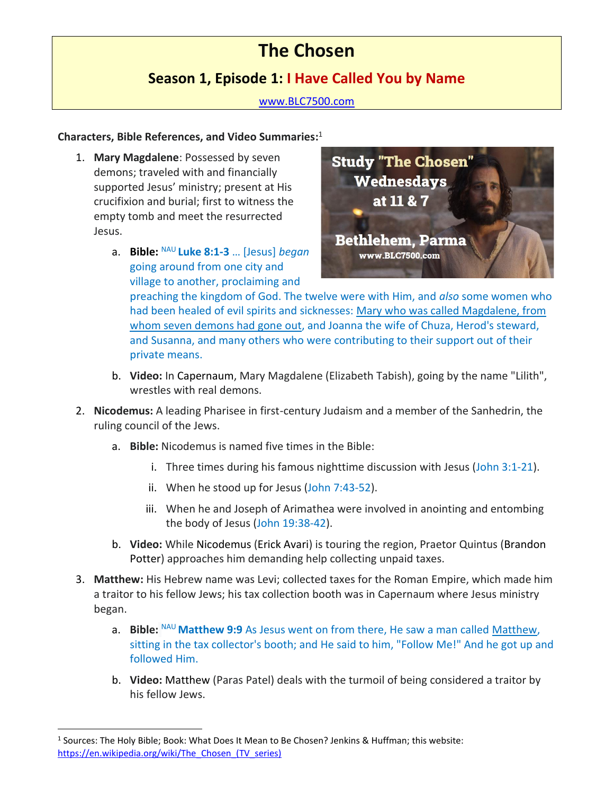# **The Chosen**

## **Season 1, Episode 1: I Have Called You by Name**

#### [www.BLC7500.com](http://www.blc7500.com/)

### **Characters, Bible References, and Video Summaries:** 1

- 1. **Mary Magdalene**: Possessed by seven demons; traveled with and financially supported Jesus' ministry; present at His crucifixion and burial; first to witness the empty tomb and meet the resurrected Jesus.
	- a. **Bible:** NAU **Luke 8:1-3** … [Jesus] *began*  going around from one city and village to another, proclaiming and



preaching the kingdom of God. The twelve were with Him, and *also* some women who had been healed of evil spirits and sicknesses: Mary who was called Magdalene, from whom seven demons had gone out, and Joanna the wife of Chuza, Herod's steward, and Susanna, and many others who were contributing to their support out of their private means.

- b. **Video:** In Capernaum, Mary Magdalene (Elizabeth Tabish), going by the name "Lilith", wrestles with real demons.
- 2. **Nicodemus:** A leading Pharisee in first-century Judaism and a member of the Sanhedrin, the ruling council of the Jews.
	- a. **Bible:** Nicodemus is named five times in the Bible:
		- i. Three times during his famous nighttime discussion with Jesus (John 3:1-21).
		- ii. When he stood up for Jesus (John 7:43-52).
		- iii. When he and Joseph of Arimathea were involved in anointing and entombing the body of Jesus (John 19:38-42).
	- b. **Video:** While Nicodemus (Erick Avari) is touring the region, Praetor Quintus (Brandon Potter) approaches him demanding help collecting unpaid taxes.
- 3. **Matthew:** His Hebrew name was Levi; collected taxes for the Roman Empire, which made him a traitor to his fellow Jews; his tax collection booth was in Capernaum where Jesus ministry began.
	- a. **Bible:** NAU Matthew 9:9 As Jesus went on from there, He saw a man called Matthew, sitting in the tax collector's booth; and He said to him, "Follow Me!" And he got up and followed Him.
	- b. **Video:** Matthew (Paras Patel) deals with the turmoil of being considered a traitor by his fellow Jews.

<sup>&</sup>lt;sup>1</sup> Sources: The Holy Bible; Book: What Does It Mean to Be Chosen? Jenkins & Huffman; this website: https://en.wikipedia.org/wiki/The Chosen (TV series)